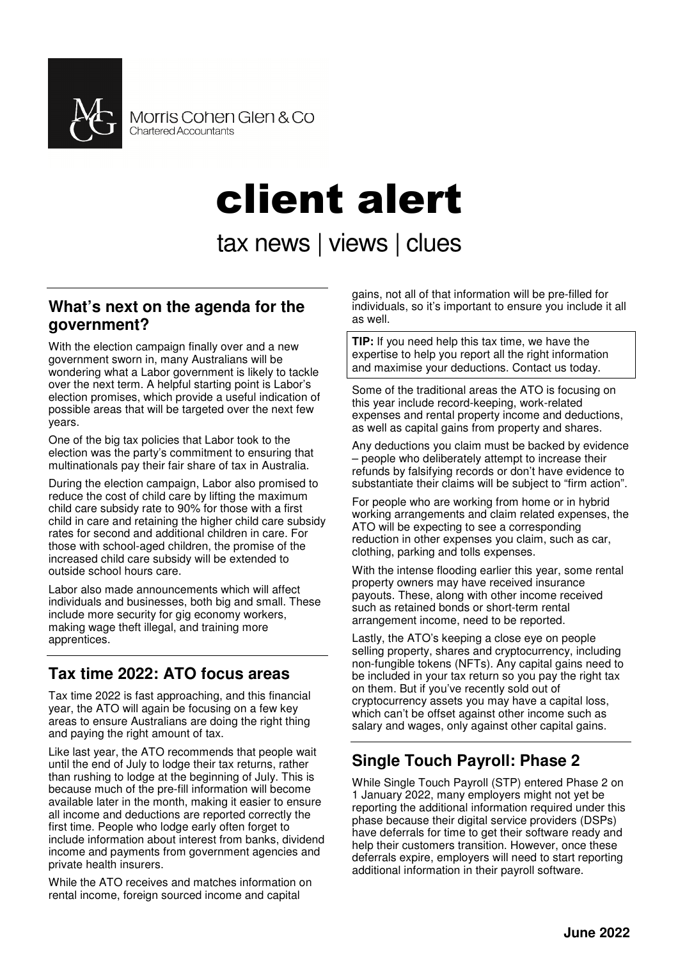

# client alert

tax news | views | clues

#### **What's next on the agenda for the government?**

With the election campaign finally over and a new government sworn in, many Australians will be wondering what a Labor government is likely to tackle over the next term. A helpful starting point is Labor's election promises, which provide a useful indication of possible areas that will be targeted over the next few years.

One of the big tax policies that Labor took to the election was the party's commitment to ensuring that multinationals pay their fair share of tax in Australia.

During the election campaign, Labor also promised to reduce the cost of child care by lifting the maximum child care subsidy rate to 90% for those with a first child in care and retaining the higher child care subsidy rates for second and additional children in care. For those with school-aged children, the promise of the increased child care subsidy will be extended to outside school hours care.

Labor also made announcements which will affect individuals and businesses, both big and small. These include more security for gig economy workers, making wage theft illegal, and training more apprentices.

## **Tax time 2022: ATO focus areas**

Tax time 2022 is fast approaching, and this financial year, the ATO will again be focusing on a few key areas to ensure Australians are doing the right thing and paying the right amount of tax.

Like last year, the ATO recommends that people wait until the end of July to lodge their tax returns, rather than rushing to lodge at the beginning of July. This is because much of the pre-fill information will become available later in the month, making it easier to ensure all income and deductions are reported correctly the first time. People who lodge early often forget to include information about interest from banks, dividend income and payments from government agencies and private health insurers.

While the ATO receives and matches information on rental income, foreign sourced income and capital

gains, not all of that information will be pre-filled for individuals, so it's important to ensure you include it all as well.

**TIP:** If you need help this tax time, we have the expertise to help you report all the right information and maximise your deductions. Contact us today.

Some of the traditional areas the ATO is focusing on this year include record-keeping, work-related expenses and rental property income and deductions, as well as capital gains from property and shares.

Any deductions you claim must be backed by evidence – people who deliberately attempt to increase their refunds by falsifying records or don't have evidence to substantiate their claims will be subject to "firm action".

For people who are working from home or in hybrid working arrangements and claim related expenses, the ATO will be expecting to see a corresponding reduction in other expenses you claim, such as car, clothing, parking and tolls expenses.

With the intense flooding earlier this year, some rental property owners may have received insurance payouts. These, along with other income received such as retained bonds or short-term rental arrangement income, need to be reported.

Lastly, the ATO's keeping a close eye on people selling property, shares and cryptocurrency, including non-fungible tokens (NFTs). Any capital gains need to be included in your tax return so you pay the right tax on them. But if you've recently sold out of cryptocurrency assets you may have a capital loss, which can't be offset against other income such as salary and wages, only against other capital gains.

# **Single Touch Payroll: Phase 2**

While Single Touch Payroll (STP) entered Phase 2 on 1 January 2022, many employers might not yet be reporting the additional information required under this phase because their digital service providers (DSPs) have deferrals for time to get their software ready and help their customers transition. However, once these deferrals expire, employers will need to start reporting additional information in their payroll software.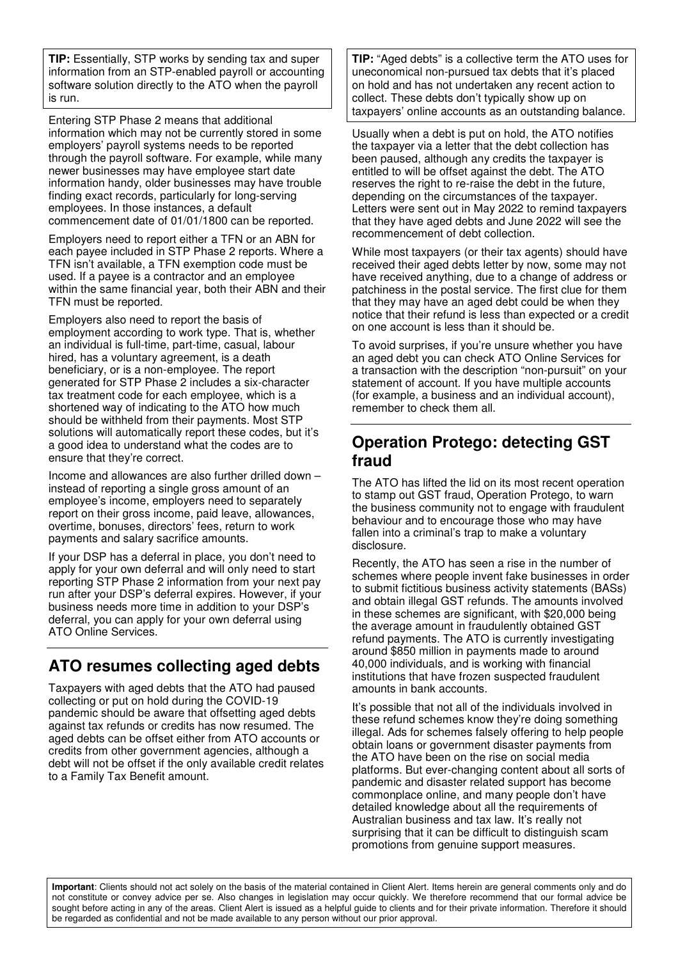**TIP:** Essentially, STP works by sending tax and super information from an STP-enabled payroll or accounting software solution directly to the ATO when the payroll is run.

Entering STP Phase 2 means that additional information which may not be currently stored in some employers' payroll systems needs to be reported through the payroll software. For example, while many newer businesses may have employee start date information handy, older businesses may have trouble finding exact records, particularly for long-serving employees. In those instances, a default commencement date of 01/01/1800 can be reported.

Employers need to report either a TFN or an ABN for each payee included in STP Phase 2 reports. Where a TFN isn't available, a TFN exemption code must be used. If a payee is a contractor and an employee within the same financial year, both their ABN and their TFN must be reported.

Employers also need to report the basis of employment according to work type. That is, whether an individual is full-time, part-time, casual, labour hired, has a voluntary agreement, is a death beneficiary, or is a non-employee. The report generated for STP Phase 2 includes a six-character tax treatment code for each employee, which is a shortened way of indicating to the ATO how much should be withheld from their payments. Most STP solutions will automatically report these codes, but it's a good idea to understand what the codes are to ensure that they're correct.

Income and allowances are also further drilled down – instead of reporting a single gross amount of an employee's income, employers need to separately report on their gross income, paid leave, allowances, overtime, bonuses, directors' fees, return to work payments and salary sacrifice amounts.

If your DSP has a deferral in place, you don't need to apply for your own deferral and will only need to start reporting STP Phase 2 information from your next pay run after your DSP's deferral expires. However, if your business needs more time in addition to your DSP's deferral, you can apply for your own deferral using ATO Online Services.

## **ATO resumes collecting aged debts**

Taxpayers with aged debts that the ATO had paused collecting or put on hold during the COVID-19 pandemic should be aware that offsetting aged debts against tax refunds or credits has now resumed. The aged debts can be offset either from ATO accounts or credits from other government agencies, although a debt will not be offset if the only available credit relates to a Family Tax Benefit amount.

**TIP:** "Aged debts" is a collective term the ATO uses for uneconomical non-pursued tax debts that it's placed on hold and has not undertaken any recent action to collect. These debts don't typically show up on taxpayers' online accounts as an outstanding balance.

Usually when a debt is put on hold, the ATO notifies the taxpayer via a letter that the debt collection has been paused, although any credits the taxpayer is entitled to will be offset against the debt. The ATO reserves the right to re-raise the debt in the future, depending on the circumstances of the taxpayer. Letters were sent out in May 2022 to remind taxpayers that they have aged debts and June 2022 will see the recommencement of debt collection.

While most taxpayers (or their tax agents) should have received their aged debts letter by now, some may not have received anything, due to a change of address or patchiness in the postal service. The first clue for them that they may have an aged debt could be when they notice that their refund is less than expected or a credit on one account is less than it should be.

To avoid surprises, if you're unsure whether you have an aged debt you can check ATO Online Services for a transaction with the description "non-pursuit" on your statement of account. If you have multiple accounts (for example, a business and an individual account), remember to check them all.

## **Operation Protego: detecting GST fraud**

The ATO has lifted the lid on its most recent operation to stamp out GST fraud, Operation Protego, to warn the business community not to engage with fraudulent behaviour and to encourage those who may have fallen into a criminal's trap to make a voluntary disclosure.

Recently, the ATO has seen a rise in the number of schemes where people invent fake businesses in order to submit fictitious business activity statements (BASs) and obtain illegal GST refunds. The amounts involved in these schemes are significant, with \$20,000 being the average amount in fraudulently obtained GST refund payments. The ATO is currently investigating around \$850 million in payments made to around 40,000 individuals, and is working with financial institutions that have frozen suspected fraudulent amounts in bank accounts.

It's possible that not all of the individuals involved in these refund schemes know they're doing something illegal. Ads for schemes falsely offering to help people obtain loans or government disaster payments from the ATO have been on the rise on social media platforms. But ever-changing content about all sorts of pandemic and disaster related support has become commonplace online, and many people don't have detailed knowledge about all the requirements of Australian business and tax law. It's really not surprising that it can be difficult to distinguish scam promotions from genuine support measures.

**Important**: Clients should not act solely on the basis of the material contained in Client Alert. Items herein are general comments only and do not constitute or convey advice per se. Also changes in legislation may occur quickly. We therefore recommend that our formal advice be sought before acting in any of the areas. Client Alert is issued as a helpful guide to clients and for their private information. Therefore it should be regarded as confidential and not be made available to any person without our prior approval.